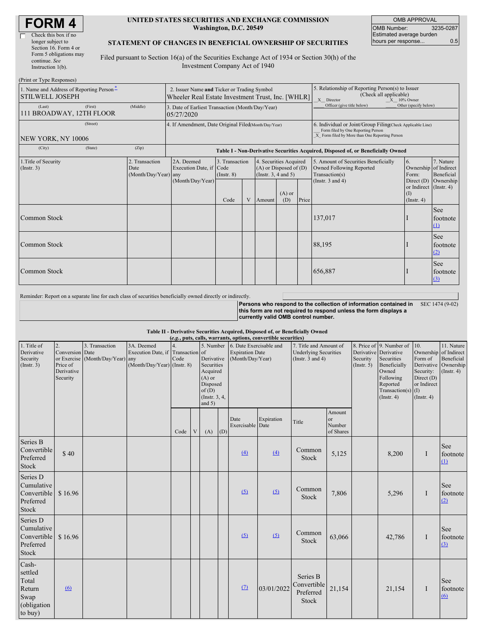| <b>FORM4</b> |  |
|--------------|--|
|--------------|--|

| Check this box if no   |
|------------------------|
| longer subject to      |
| Section 16. Form 4 or  |
| Form 5 obligations may |
| continue. See          |
| Instruction $l(b)$ .   |

#### **UNITED STATES SECURITIES AND EXCHANGE COMMISSION Washington, D.C. 20549**

OMB APPROVAL OMB Number: 3235-0287 Estimated average burden hours per response... 0.5

#### **STATEMENT OF CHANGES IN BENEFICIAL OWNERSHIP OF SECURITIES**

Filed pursuant to Section 16(a) of the Securities Exchange Act of 1934 or Section 30(h) of the Investment Company Act of 1940

| (Print or Type Responses)                                          |                                                      |                                                                                                  |                                   |  |                                                                                  |                                                                                                                                                    |                                                                                                         |                                                                                    |                                                                 |                         |
|--------------------------------------------------------------------|------------------------------------------------------|--------------------------------------------------------------------------------------------------|-----------------------------------|--|----------------------------------------------------------------------------------|----------------------------------------------------------------------------------------------------------------------------------------------------|---------------------------------------------------------------------------------------------------------|------------------------------------------------------------------------------------|-----------------------------------------------------------------|-------------------------|
| 1. Name and Address of Reporting Person-<br><b>STILWELL JOSEPH</b> |                                                      | 2. Issuer Name and Ticker or Trading Symbol<br>Wheeler Real Estate Investment Trust, Inc. [WHLR] |                                   |  |                                                                                  |                                                                                                                                                    | 5. Relationship of Reporting Person(s) to Issuer<br>(Check all applicable)<br>X Director<br>X 10% Owner |                                                                                    |                                                                 |                         |
| (Last)<br>(First)<br>111 BROADWAY, 12TH FLOOR                      | (Middle)                                             | 3. Date of Earliest Transaction (Month/Day/Year)<br>05/27/2020                                   |                                   |  |                                                                                  |                                                                                                                                                    |                                                                                                         | Officer (give title below)                                                         | Other (specify below)                                           |                         |
| (Street)<br>NEW YORK, NY 10006                                     | 4. If Amendment, Date Original Filed(Month/Day/Year) |                                                                                                  |                                   |  |                                                                                  | 6. Individual or Joint/Group Filing Check Applicable Line)<br>Form filed by One Reporting Person<br>X Form filed by More than One Reporting Person |                                                                                                         |                                                                                    |                                                                 |                         |
| (City)<br>(State)                                                  | (Zip)                                                | Table I - Non-Derivative Securities Acquired, Disposed of, or Beneficially Owned                 |                                   |  |                                                                                  |                                                                                                                                                    |                                                                                                         |                                                                                    |                                                                 |                         |
| 1. Title of Security<br>(Insert. 3)                                | 2. Transaction<br>Date<br>(Month/Day/Year) any       | 2A. Deemed<br>Execution Date, if Code                                                            | 3. Transaction<br>$($ Instr. $8)$ |  | 4. Securities Acquired<br>$(A)$ or Disposed of $(D)$<br>(Instr. $3, 4$ and $5$ ) |                                                                                                                                                    |                                                                                                         | 5. Amount of Securities Beneficially<br>Owned Following Reported<br>Transaction(s) | 6.<br>Ownership of Indirect<br>Form:                            | 7. Nature<br>Beneficial |
|                                                                    |                                                      | (Month/Day/Year)                                                                                 | Code<br>V                         |  | Amount                                                                           | $(A)$ or<br>(D)                                                                                                                                    | Price                                                                                                   | (Instr. $3$ and $4$ )                                                              | Direct $(D)$<br>or Indirect (Instr. 4)<br>$($ I)<br>(Insert. 4) | Ownership               |
| Common Stock                                                       |                                                      |                                                                                                  |                                   |  |                                                                                  |                                                                                                                                                    |                                                                                                         | 137,017                                                                            |                                                                 | See<br>footnote<br>(1)  |
| <b>Common Stock</b>                                                |                                                      |                                                                                                  |                                   |  |                                                                                  |                                                                                                                                                    |                                                                                                         | 88,195                                                                             |                                                                 | See<br>footnote<br>(2)  |
| Common Stock                                                       |                                                      |                                                                                                  |                                   |  |                                                                                  |                                                                                                                                                    |                                                                                                         | 656,887                                                                            |                                                                 | See<br>footnote<br>(3)  |

Reminder: Report on a separate line for each class of securities beneficially owned directly or indirectly.

**Persons who respond to the collection of information contained in** SEC 1474 (9-02) **this form are not required to respond unless the form displays a currently valid OMB control number.**

**Table II - Derivative Securities Acquired, Disposed of, or Beneficially Owned**

| (e.g., puts, calls, warrants, options, convertible securities)        |                                                             |                                                    |                                                                                  |      |   |                                                                                                    |     |                                                                                                           |            |                                                       |                                     |                         |                                                                                                                                                          |                                                                         |                                                                                          |
|-----------------------------------------------------------------------|-------------------------------------------------------------|----------------------------------------------------|----------------------------------------------------------------------------------|------|---|----------------------------------------------------------------------------------------------------|-----|-----------------------------------------------------------------------------------------------------------|------------|-------------------------------------------------------|-------------------------------------|-------------------------|----------------------------------------------------------------------------------------------------------------------------------------------------------|-------------------------------------------------------------------------|------------------------------------------------------------------------------------------|
| 1. Title of<br>Derivative<br>Security<br>(Insert. 3)                  | 2.<br>Conversion Date<br>Price of<br>Derivative<br>Security | 3. Transaction<br>or Exercise (Month/Day/Year) any | 3A. Deemed<br>Execution Date, if Transaction of<br>$(Month/Day/Year)$ (Instr. 8) | Code |   | Derivative<br>Securities<br>Acquired<br>$(A)$ or<br>Disposed<br>of(D)<br>(Instr. 3, 4,<br>and $5)$ |     | 5. Number 6. Date Exercisable and<br>7. Title and Amount of<br><b>Expiration Date</b><br>(Month/Day/Year) |            | <b>Underlying Securities</b><br>(Instr. $3$ and $4$ ) |                                     | Security<br>(Insert. 5) | 8. Price of 9. Number of<br>Derivative Derivative<br>Securities<br>Beneficially<br>Owned<br>Following<br>Reported<br>Transaction(s) $(I)$<br>(Insert. 4) | 10.<br>Form of<br>Security:<br>Direct (D)<br>or Indirect<br>(Insert. 4) | 11. Nature<br>Ownership of Indirect<br>Beneficial<br>Derivative Ownership<br>(Insert. 4) |
|                                                                       |                                                             |                                                    |                                                                                  | Code | V | (A)                                                                                                | (D) | Date<br>Exercisable Date                                                                                  | Expiration | Title                                                 | Amount<br>or<br>Number<br>of Shares |                         |                                                                                                                                                          |                                                                         |                                                                                          |
| Series B<br>Convertible<br>Preferred<br><b>Stock</b>                  | \$40                                                        |                                                    |                                                                                  |      |   |                                                                                                    |     | (4)                                                                                                       | (4)        | Common<br>Stock                                       | 5,125                               |                         | 8,200                                                                                                                                                    | I                                                                       | See<br>footnote<br>$\Omega$                                                              |
| Series D<br>Cumulative<br>Convertible<br>Preferred<br><b>Stock</b>    | \$16.96                                                     |                                                    |                                                                                  |      |   |                                                                                                    |     | (5)                                                                                                       | (5)        | Common<br>Stock                                       | 7,806                               |                         | 5,296                                                                                                                                                    | I                                                                       | See<br>footnote<br>(2)                                                                   |
| Series D<br>Cumulative<br>Convertible<br>Preferred<br>Stock           | \$16.96                                                     |                                                    |                                                                                  |      |   |                                                                                                    |     | (5)                                                                                                       | (5)        | Common<br>Stock                                       | 63,066                              |                         | 42,786                                                                                                                                                   | I                                                                       | See<br>footnote<br>(3)                                                                   |
| Cash-<br>settled<br>Total<br>Return<br>Swap<br>(obligation<br>to buy) | 6                                                           |                                                    |                                                                                  |      |   |                                                                                                    |     | (7)                                                                                                       | 03/01/2022 | Series B<br>Convertible<br>Preferred<br>Stock         | 21,154                              |                         | 21,154                                                                                                                                                   | I                                                                       | See<br>footnote<br>(6)                                                                   |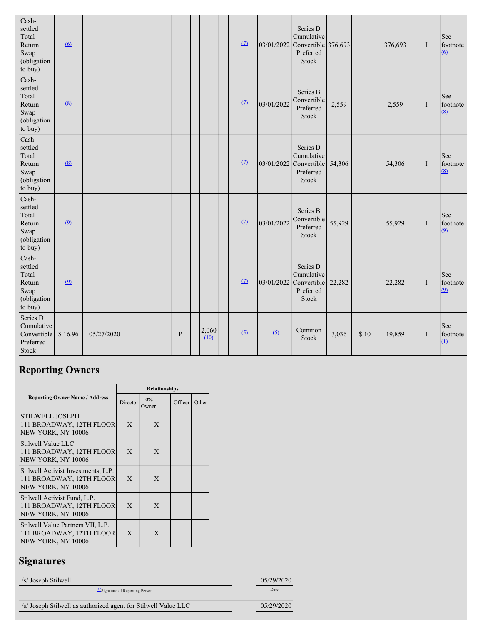| Cash-<br>settled<br>Total<br>Return<br>Swap<br>(obligation<br>to buy) | 6        |            |              |               | (7)      |            | Series D<br>Cumulative<br>03/01/2022 Convertible 376,693<br>Preferred<br>Stock |        |      | 376,693 | I | See<br>footnote<br>$\omega$ |
|-----------------------------------------------------------------------|----------|------------|--------------|---------------|----------|------------|--------------------------------------------------------------------------------|--------|------|---------|---|-----------------------------|
| Cash-<br>settled<br>Total<br>Return<br>Swap<br>(obligation<br>to buy) | (8)      |            |              |               | (7)      | 03/01/2022 | Series B<br>Convertible<br>Preferred<br>Stock                                  | 2,559  |      | 2,559   | I | See<br>footnote<br>(8)      |
| Cash-<br>settled<br>Total<br>Return<br>Swap<br>(obligation<br>to buy) | (8)      |            |              |               | $\Omega$ |            | Series D<br>Cumulative<br>03/01/2022 Convertible<br>Preferred<br>Stock         | 54,306 |      | 54,306  | I | See<br>footnote<br>(8)      |
| Cash-<br>settled<br>Total<br>Return<br>Swap<br>(obligation<br>to buy) | $\Omega$ |            |              |               | $\Omega$ | 03/01/2022 | Series B<br>Convertible<br>Preferred<br>Stock                                  | 55,929 |      | 55,929  | I | See<br>footnote<br>(9)      |
| Cash-<br>settled<br>Total<br>Return<br>Swap<br>(obligation<br>to buy) | $\Omega$ |            |              |               | (7)      |            | Series D<br>Cumulative<br>03/01/2022 Convertible<br>Preferred<br>Stock         | 22,282 |      | 22,282  | I | See<br>footnote<br>(9)      |
| Series D<br>Cumulative<br>Convertible<br>Preferred<br>Stock           | \$16.96  | 05/27/2020 | $\mathbf{P}$ | 2,060<br>(10) | (5)      | (5)        | Common<br>Stock                                                                | 3,036  | \$10 | 19,859  | I | See<br>footnote<br>$\Omega$ |

# **Reporting Owners**

|                                                                                       | <b>Relationships</b> |              |         |       |  |  |  |  |
|---------------------------------------------------------------------------------------|----------------------|--------------|---------|-------|--|--|--|--|
| <b>Reporting Owner Name / Address</b>                                                 | Director             | 10%<br>Owner | Officer | Other |  |  |  |  |
| STILWELL JOSEPH<br>111 BROADWAY, 12TH FLOOR<br>NEW YORK, NY 10006                     | X                    | X            |         |       |  |  |  |  |
| Stilwell Value LLC<br>111 BROADWAY, 12TH FLOOR<br>NEW YORK, NY 10006                  | $\mathbf{X}$         | X            |         |       |  |  |  |  |
| Stilwell Activist Investments, L.P.<br>111 BROADWAY, 12TH FLOOR<br>NEW YORK, NY 10006 | X                    | X            |         |       |  |  |  |  |
| Stilwell Activist Fund, L.P.<br>111 BROADWAY, 12TH FLOOR<br>NEW YORK, NY 10006        | X                    | X            |         |       |  |  |  |  |
| Stilwell Value Partners VII, L.P.<br>111 BROADWAY, 12TH FLOOR<br>NEW YORK, NY 10006   | $\mathbf{X}$         | X            |         |       |  |  |  |  |

# **Signatures**

| /s/ Joseph Stilwell                                            | 05/29/2020 |
|----------------------------------------------------------------|------------|
| Signature of Reporting Person                                  | Date       |
| /s/ Joseph Stilwell as authorized agent for Stilwell Value LLC | 05/29/2020 |